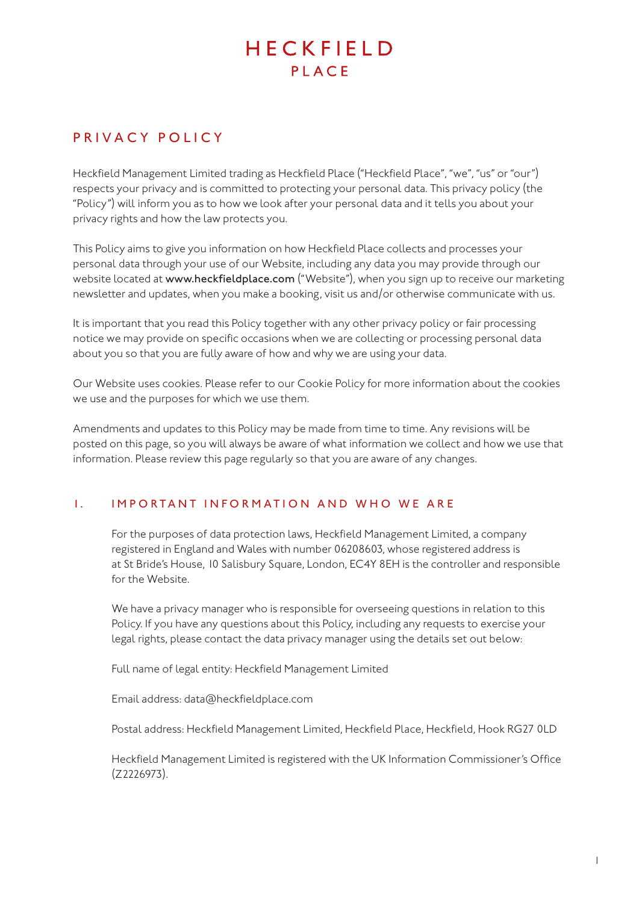# HECKFIFID PLACE

# PRIVACY POLICY

Heckfield Management Limited trading as Heckfield Place ("Heckfield Place", "we", "us" or "our") respects your privacy and is committed to protecting your personal data. This privacy policy (the "Policy") will inform you as to how we look after your personal data and it tells you about your privacy rights and how the law protects you.

This Policy aims to give you information on how Heckfield Place collects and processes your personal data through your use of our Website, including any data you may provide through our website located at www.heckfieldplace.com ("Website"), when you sign up to receive our marketing newsletter and updates, when you make a booking, visit us and/or otherwise communicate with us.

It is important that you read this Policy together with any other privacy policy or fair processing notice we may provide on specific occasions when we are collecting or processing personal data about you so that you are fully aware of how and why we are using your data.

Our Website uses cookies. Please refer to our Cookie Policy for more information about the cookies we use and the purposes for which we use them.

Amendments and updates to this Policy may be made from time to time. Any revisions will be posted on this page, so you will always be aware of what information we collect and how we use that information. Please review this page regularly so that you are aware of any changes.

# 1. IMPO RTANT INFO RMATION AND WHO WE ARE

For the purposes of data protection laws, Heckfield Management Limited, a company registered in England and Wales with number 06208603, whose registered address is at St Bride's House, 10 Salisbury Square, London, EC4Y 8EH is the controller and responsible for the Website.

We have a privacy manager who is responsible for overseeing questions in relation to this Policy. If you have any questions about this Policy, including any requests to exercise your legal rights, please contact the data privacy manager using the details set out below:

Full name of legal entity: Heckfield Management Limited

Email address: data@heckfieldplace.com

Postal address: Heckfield Management Limited, Heckfield Place, Heckfield, Hook RG27 0LD

Heckfield Management Limited is registered with the UK Information Commissioner's Office (Z2226973).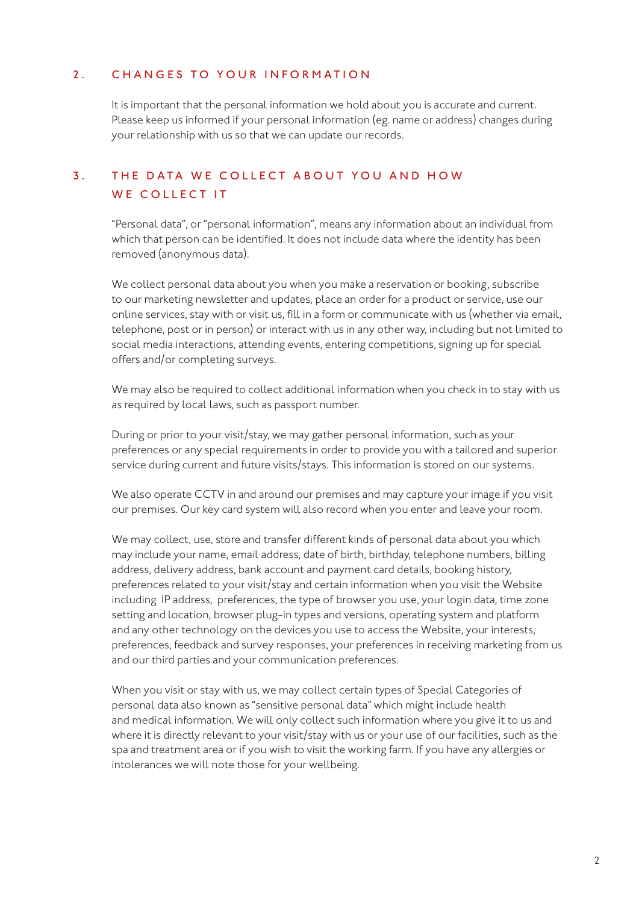#### 2. CHANGES TO YOUR INFORMATION

It is important that the personal information we hold about you is accurate and current. Please keep us informed if your personal information (eg. name or address) changes during your relationship with us so that we can update our records.

# 3. THE DATA WE COLLECT ABOUT YOU AND HOW WE COLLECT IT

"Personal data", or "personal information", means any information about an individual from which that person can be identified. It does not include data where the identity has been removed (anonymous data).

We collect personal data about you when you make a reservation or booking, subscribe to our marketing newsletter and updates, place an order for a product or service, use our online services, stay with or visit us, fill in a form or communicate with us (whether via email, telephone, post or in person) or interact with us in any other way, including but not limited to social media interactions, attending events, entering competitions, signing up for special offers and/or completing surveys.

We may also be required to collect additional information when you check in to stay with us as required by local laws, such as passport number.

During or prior to your visit/stay, we may gather personal information, such as your preferences or any special requirements in order to provide you with a tailored and superior service during current and future visits/stays. This information is stored on our systems.

We also operate CCTV in and around our premises and may capture your image if you visit our premises. Our key card system will also record when you enter and leave your room.

We may collect, use, store and transfer different kinds of personal data about you which may include your name, email address, date of birth, birthday, telephone numbers, billing address, delivery address, bank account and payment card details, booking history, preferences related to your visit/stay and certain information when you visit the Website including IP address, preferences, the type of browser you use, your login data, time zone setting and location, browser plug-in types and versions, operating system and platform and any other technology on the devices you use to access the Website, your interests, preferences, feedback and survey responses, your preferences in receiving marketing from us and our third parties and your communication preferences.

When you visit or stay with us, we may collect certain types of Special Categories of personal data also known as "sensitive personal data" which might include health and medical information. We will only collect such information where you give it to us and where it is directly relevant to your visit/stay with us or your use of our facilities, such as the spa and treatment area or if you wish to visit the working farm. If you have any allergies or intolerances we will note those for your wellbeing.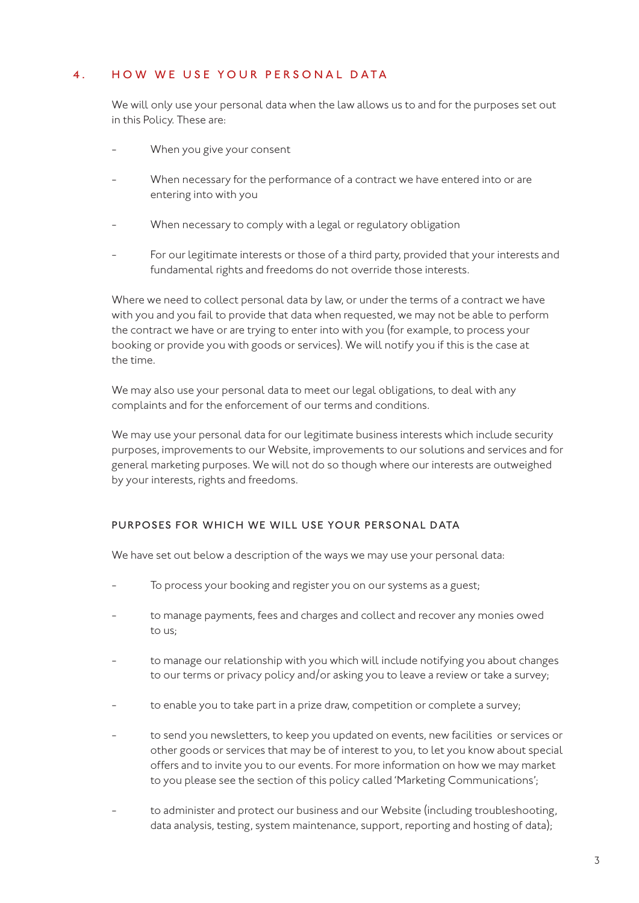#### 4. HOW WE USE YOUR PERSONAL DATA

We will only use your personal data when the law allows us to and for the purposes set out in this Policy. These are:

- When you give your consent
- When necessary for the performance of a contract we have entered into or are entering into with you
- When necessary to comply with a legal or regulatory obligation
- For our legitimate interests or those of a third party, provided that your interests and fundamental rights and freedoms do not override those interests.

Where we need to collect personal data by law, or under the terms of a contract we have with you and you fail to provide that data when requested, we may not be able to perform the contract we have or are trying to enter into with you (for example, to process your booking or provide you with goods or services). We will notify you if this is the case at the time.

We may also use your personal data to meet our legal obligations, to deal with any complaints and for the enforcement of our terms and conditions.

We may use your personal data for our legitimate business interests which include security purposes, improvements to our Website, improvements to our solutions and services and for general marketing purposes. We will not do so though where our interests are outweighed by your interests, rights and freedoms.

#### PURPOSES FOR WHICH WE WILL USE YOUR PERSONAL DATA

We have set out below a description of the ways we may use your personal data:

- To process your booking and register you on our systems as a guest;
- to manage payments, fees and charges and collect and recover any monies owed to us;
- to manage our relationship with you which will include notifying you about changes to our terms or privacy policy and/or asking you to leave a review or take a survey;
- to enable you to take part in a prize draw, competition or complete a survey;
- to send you newsletters, to keep you updated on events, new facilities or services or other goods or services that may be of interest to you, to let you know about special offers and to invite you to our events. For more information on how we may market to you please see the section of this policy called 'Marketing Communications';
- to administer and protect our business and our Website (including troubleshooting, data analysis, testing, system maintenance, support, reporting and hosting of data);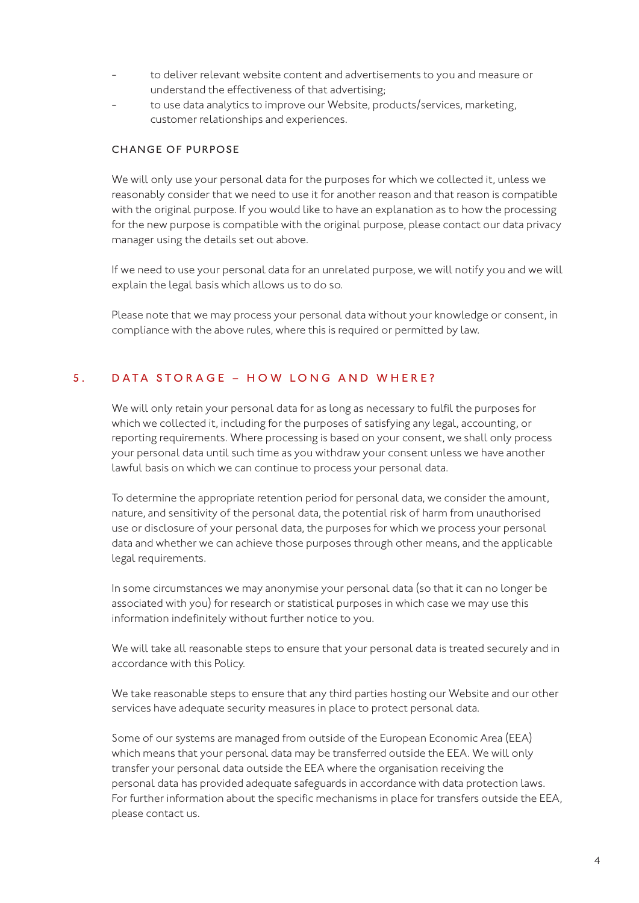- to deliver relevant website content and advertisements to you and measure or understand the effectiveness of that advertising;
- to use data analytics to improve our Website, products/services, marketing, customer relationships and experiences.

#### CHANGE OF PURPOSE

We will only use your personal data for the purposes for which we collected it, unless we reasonably consider that we need to use it for another reason and that reason is compatible with the original purpose. If you would like to have an explanation as to how the processing for the new purpose is compatible with the original purpose, please contact our data privacy manager using the details set out above.

If we need to use your personal data for an unrelated purpose, we will notify you and we will explain the legal basis which allows us to do so.

Please note that we may process your personal data without your knowledge or consent, in compliance with the above rules, where this is required or permitted by law.

#### 5. DATA STORAGE – HOW LONG AND WHERE?

We will only retain your personal data for as long as necessary to fulfil the purposes for which we collected it, including for the purposes of satisfying any legal, accounting, or reporting requirements. Where processing is based on your consent, we shall only process your personal data until such time as you withdraw your consent unless we have another lawful basis on which we can continue to process your personal data.

To determine the appropriate retention period for personal data, we consider the amount, nature, and sensitivity of the personal data, the potential risk of harm from unauthorised use or disclosure of your personal data, the purposes for which we process your personal data and whether we can achieve those purposes through other means, and the applicable legal requirements.

In some circumstances we may anonymise your personal data (so that it can no longer be associated with you) for research or statistical purposes in which case we may use this information indefinitely without further notice to you.

We will take all reasonable steps to ensure that your personal data is treated securely and in accordance with this Policy.

We take reasonable steps to ensure that any third parties hosting our Website and our other services have adequate security measures in place to protect personal data.

Some of our systems are managed from outside of the European Economic Area (EEA) which means that your personal data may be transferred outside the EEA. We will only transfer your personal data outside the EEA where the organisation receiving the personal data has provided adequate safeguards in accordance with data protection laws. For further information about the specific mechanisms in place for transfers outside the EEA, please contact us.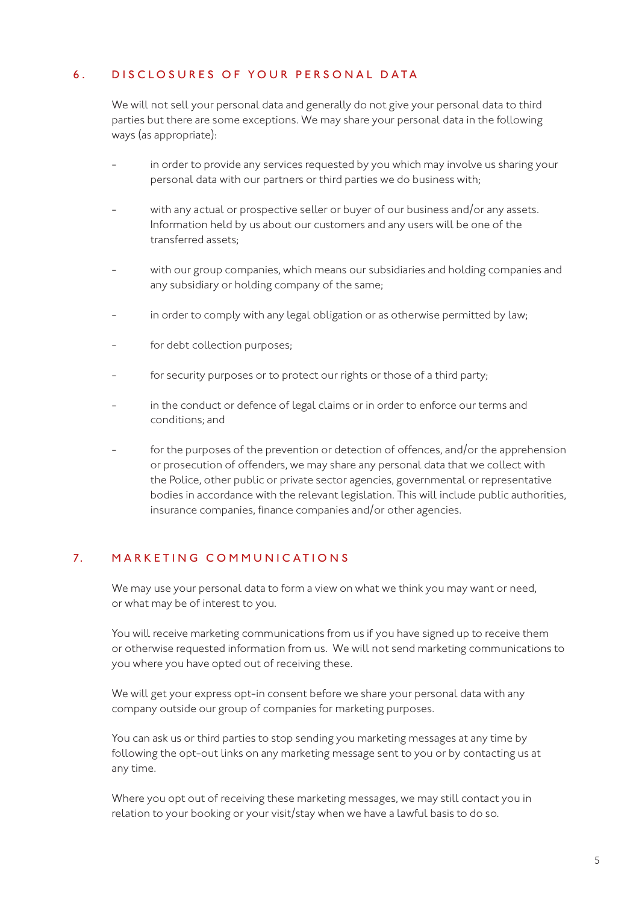#### 6. DISCLOSURES OF YOUR PERSONAL DATA

We will not sell your personal data and generally do not give your personal data to third parties but there are some exceptions. We may share your personal data in the following ways (as appropriate):

- in order to provide any services requested by you which may involve us sharing your personal data with our partners or third parties we do business with;
- with any actual or prospective seller or buyer of our business and/or any assets. Information held by us about our customers and any users will be one of the transferred assets;
- with our group companies, which means our subsidiaries and holding companies and any subsidiary or holding company of the same;
- in order to comply with any legal obligation or as otherwise permitted by law;
- for debt collection purposes;
- for security purposes or to protect our rights or those of a third party;
- in the conduct or defence of legal claims or in order to enforce our terms and conditions; and
- for the purposes of the prevention or detection of offences, and/or the apprehension or prosecution of offenders, we may share any personal data that we collect with the Police, other public or private sector agencies, governmental or representative bodies in accordance with the relevant legislation. This will include public authorities, insurance companies, finance companies and/or other agencies.

# 7. MARKETING COMMUNIC ATIONS

We may use your personal data to form a view on what we think you may want or need, or what may be of interest to you.

You will receive marketing communications from us if you have signed up to receive them or otherwise requested information from us. We will not send marketing communications to you where you have opted out of receiving these.

We will get your express opt-in consent before we share your personal data with any company outside our group of companies for marketing purposes.

You can ask us or third parties to stop sending you marketing messages at any time by following the opt-out links on any marketing message sent to you or by contacting us at any time.

Where you opt out of receiving these marketing messages, we may still contact you in relation to your booking or your visit/stay when we have a lawful basis to do so.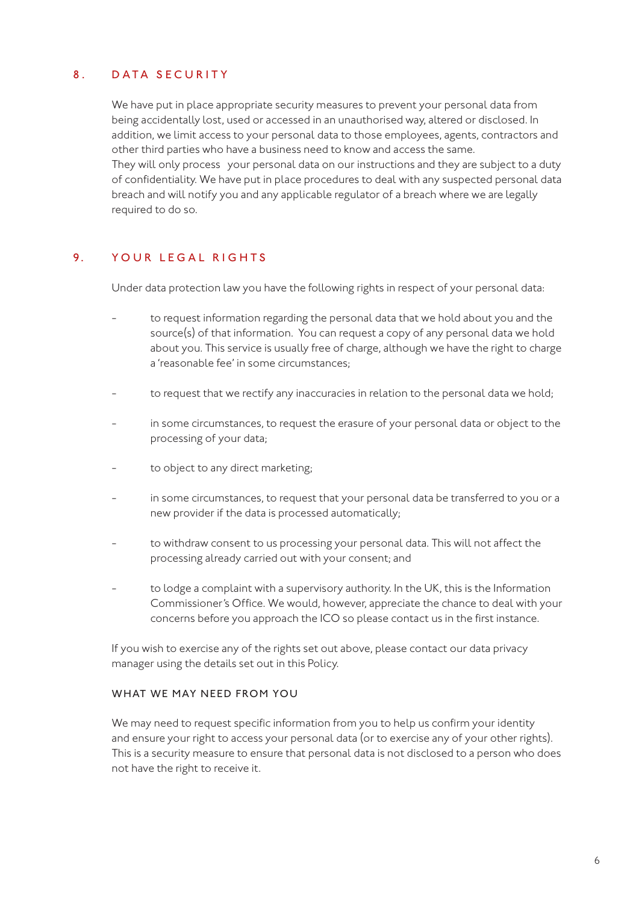# 8. DATA SECURITY

We have put in place appropriate security measures to prevent your personal data from being accidentally lost, used or accessed in an unauthorised way, altered or disclosed. In addition, we limit access to your personal data to those employees, agents, contractors and other third parties who have a business need to know and access the same. They will only process your personal data on our instructions and they are subject to a duty of confidentiality. We have put in place procedures to deal with any suspected personal data breach and will notify you and any applicable regulator of a breach where we are legally required to do so.

# 9 YOUR LEGAL RIGHTS

Under data protection law you have the following rights in respect of your personal data:

- to request information regarding the personal data that we hold about you and the source(s) of that information. You can request a copy of any personal data we hold about you. This service is usually free of charge, although we have the right to charge a 'reasonable fee' in some circumstances;
- to request that we rectify any inaccuracies in relation to the personal data we hold;
- in some circumstances, to request the erasure of your personal data or object to the processing of your data;
- to object to any direct marketing;
- in some circumstances, to request that your personal data be transferred to you or a new provider if the data is processed automatically;
- to withdraw consent to us processing your personal data. This will not affect the processing already carried out with your consent; and
- to lodge a complaint with a supervisory authority. In the UK, this is the Information Commissioner's Office. We would, however, appreciate the chance to deal with your concerns before you approach the ICO so please contact us in the first instance.

If you wish to exercise any of the rights set out above, please contact our data privacy manager using the details set out in this Policy.

#### WHAT WE MAY NEED FROM YOU

We may need to request specific information from you to help us confirm your identity and ensure your right to access your personal data (or to exercise any of your other rights). This is a security measure to ensure that personal data is not disclosed to a person who does not have the right to receive it.